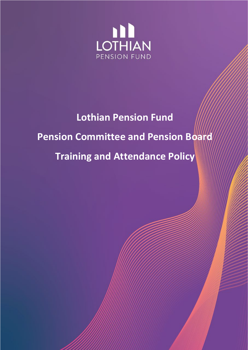

# **Lothian Pension Fund Pension Committee and Pension Board Training and Attendance Policy**

Lothian Pension Fund – Pension Committee and Board

Training and Attendance Policy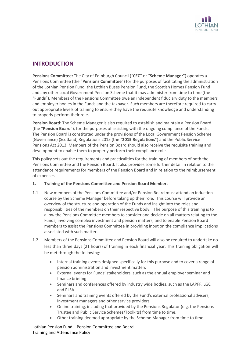

# **INTRODUCTION**

**Pensions Committee:** The City of Edinburgh Council ("**CEC**" or "**Scheme Manager**") operates a Pensions Committee (the "**Pensions Committee**") for the purposes of facilitating the administration of the Lothian Pension Fund, the Lothian Buses Pension Fund, the Scottish Homes Pension Fund and any other Local Government Pension Scheme that it may administer from time to time (the "**Funds**"). Members of the Pensions Committee owe an independent fiduciary duty to the members and employer bodies in the Funds and the taxpayer. Such members are therefore required to carry out appropriate levels of training to ensure they have the requisite knowledge and understanding to properly perform their role.

**Pension Board**: The Scheme Manager is also required to establish and maintain a Pension Board (the "**Pension Board**"), for the purposes of assisting with the ongoing compliance of the Funds. The Pension Board is constituted under the provisions of the Local Government Pension Scheme (Governance) (Scotland) Regulations 2015 (the "**2015 Regulations**") and the Public Service Pensions Act 2013. Members of the Pension Board should also receive the requisite training and development to enable them to properly perform their compliance role.

This policy sets out the requirements and practicalities for the training of members of both the Pensions Committee and the Pension Board. It also provides some further detail in relation to the attendance requirements for members of the Pension Board and in relation to the reimbursement of expenses.

# **1. Training of the Pensions Committee and Pension Board Members**

- 1.1 New members of the Pensions Committee and/or Pension Board must attend an induction course by the Scheme Manager before taking up their role. This course will provide an overview of the structure and operation of the Funds and insight into the roles and responsibilities of the members on their respective body. The purpose of this training is to allow the Pensions Committee members to consider and decide on all matters relating to the Funds, involving complex investment and pension matters, and to enable Pension Board members to assist the Pensions Committee in providing input on the compliance implications associated with such matters.
- 1.2 Members of the Pensions Committee and Pension Board will also be required to undertake no less than three days (21 hours) of training in each financial year. This training obligation will be met through the following:
	- Internal training events designed specifically for this purpose and to cover a range of pension administration and investment matters
	- External events for Funds' stakeholders, such as the annual employer seminar and finance briefing
	- Seminars and conferences offered by industry wide bodies, such as the LAPFF, LGC and PLSA.
	- Seminars and training events offered by the Fund's external professional advisers, investment managers and other service providers.
	- Online training, including that provided by the Pensions Regulator (e.g. the Pensions Trustee and Public Service Schemes/Toolkits) from time to time.
	- Other training deemed appropriate by the Scheme Manager from time to time.

Lothian Pension Fund – Pension Committee and Board Training and Attendance Policy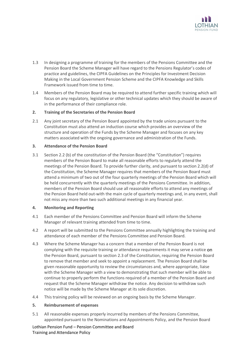

- 1.3 In designing a programme of training for the members of the Pensions Committee and the Pension Board the Scheme Manager will have regard to the Pensions Regulator's codes of practice and guidelines, the CIPFA Guidelines on the Principles for Investment Decision Making in the Local Government Pension Scheme and the CIPFA Knowledge and Skills Framework issued from time to time.
- 1.4 Members of the Pension Board may be required to attend further specific training which will focus on any regulatory, legislative or other technical updates which they should be aware of in the performance of their compliance role.

## **2. Training of the Secretaries of the Pension Board**

2.1 Any joint secretary of the Pension Board appointed by the trade unions pursuant to the Constitution must also attend an induction course which provides an overview of the structure and operation of the Funds by the Scheme Manager and focuses on any key matters associated with the ongoing governance and administration of the Funds.

### **3. Attendance of the Pension Board**

3.1 Section 2.2 (b) of the constitution of the Pension Board (the "Constitution") requires members of the Pension Board to make all reasonable efforts to regularly attend the meetings of the Pension Board. To provide further clarity, and pursuant to section 2.2(d) of the Constitution, the Scheme Manager requires that members of the Pension Board must attend a minimum of two out of the four quarterly meetings of the Pension Board which will be held concurrently with the quarterly meetings of the Pensions Committee. In addition, members of the Pension Board should use all reasonable efforts to attend any meetings of the Pension Board held out-with the main cycle of quarterly meetings and, in any event, shall not miss any more than two such additional meetings in any financial year.

### **4. Monitoring and Reporting**

- 4.1 Each member of the Pensions Committee and Pension Board will inform the Scheme Manager of relevant training attended from time to time.
- 4.2 A report will be submitted to the Pensions Committee annually highlighting the training and attendance of each member of the Pensions Committee and Pension Board.
- 4.3 Where the Scheme Manager has a concern that a member of the Pension Board is not complying with the requisite training or attendance requirements it may serve a notice on the Pension Board, pursuant to section 2.3 of the Constitution, requiring the Pension Board to remove that member and seek to appoint a replacement. The Pension Board shall be given reasonable opportunity to review the circumstances and, where appropriate, liaise with the Scheme Manager with a view to demonstrating that such member will be able to continue to properly perform the functions required of a member of the Pension Board and request that the Scheme Manager withdraw the notice. Any decision to withdraw such notice will be made by the Scheme Manager at its sole discretion.
- 4.4 This training policy will be reviewed on an ongoing basis by the Scheme Manager.

### **5. Reimbursement of expenses**

5.1 All reasonable expenses properly incurred by members of the Pensions Committee, appointed pursuant to the Nominations and Appointments Policy, and the Pension Board

Lothian Pension Fund – Pension Committee and Board Training and Attendance Policy